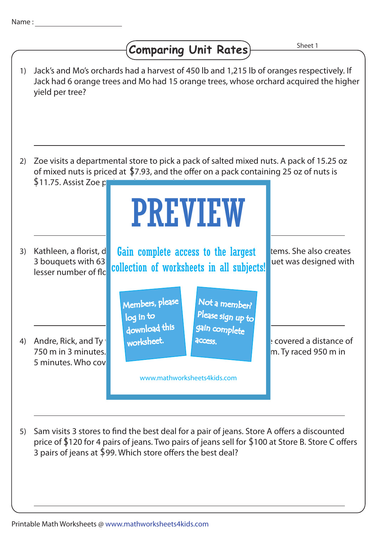## Comparing Unit Rates)

Sheet 1

- 1) Jack's and Mo's orchards had a harvest of 450 lb and 1,215 lb of oranges respectively. If Jack had 6 orange trees and Mo had 15 orange trees, whose orchard acquired the higher yield per tree? Kathleen, a florist, d**et Gain complete access to the largest with the also creates** 3 bouquets with 63 collection of worksheets in all subjects! uet was designed with lesser number of flo 5) Sam visits 3 stores to find the best deal for a pair of jeans. Store A offers a discounted 3) Kathleen, a florist, d 4) Andre, Rick, and Ty worksheet. Andre covered a distance of 2) Zoe visits a departmental store to pick a pack of salted mixed nuts. A pack of 15.25 oz 750 m in 3 minutes. **Rick clocked 4 minutes for a distance of 800 m** in 5 minutes. Who cover of mixed nuts is priced at  $$7.93$ , and the offer on a pack containing 25 oz of nuts is  $$11.75.$  Assist Zoe p price of \$120 for 4 pairs of jeans. Two pairs of jeans sell for \$100 at Store B. Store C offers PREVIEW www.mathworksheets4kids.com Members, please download this worksheet. log in to Not a member? gain complete Please sign up to **access** 
	- 3 pairs of jeans at  $$99$ . Which store offers the best deal?